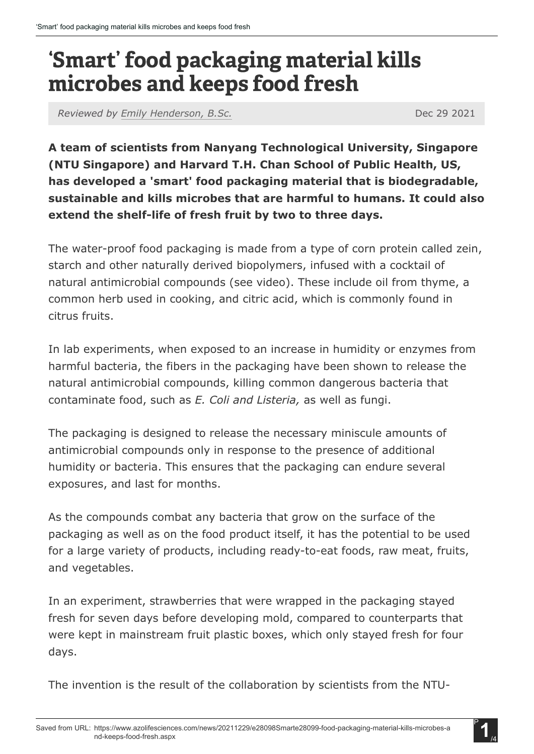## 'Smart' food packaging material kills microbes and keeps food fresh

*Reviewed by [Emily Henderson, B.Sc.](https://www.azolifesciences.com/authors/emily-henderson)* Dec 29 2021

**A team of scientists from Nanyang Technological University, Singapore (NTU Singapore) and Harvard T.H. Chan School of Public Health, US, has developed a 'smart' food packaging material that is biodegradable, sustainable and kills microbes that are harmful to humans. It could also extend the shelf-life of fresh fruit by two to three days.**

The water-proof food packaging is made from a type of corn protein called zein, starch and other naturally derived biopolymers, infused with a cocktail of natural antimicrobial compounds (see video). These include oil from thyme, a common herb used in cooking, and citric acid, which is commonly found in citrus fruits.

In lab experiments, when exposed to an increase in humidity or enzymes from harmful bacteria, the fibers in the packaging have been shown to release the natural antimicrobial compounds, killing common dangerous bacteria that contaminate food, such as *E. Coli and Listeria,* as well as fungi.

The packaging is designed to release the necessary miniscule amounts of antimicrobial compounds only in response to the presence of additional humidity or bacteria. This ensures that the packaging can endure several exposures, and last for months.

As the compounds combat any bacteria that grow on the surface of the packaging as well as on the food product itself, it has the potential to be used for a large variety of products, including ready-to-eat foods, raw meat, fruits, and vegetables.

In an experiment, strawberries that were wrapped in the packaging stayed fresh for seven days before developing mold, compared to counterparts that were kept in mainstream fruit plastic boxes, which only stayed fresh for four days.

The invention is the result of the collaboration by scientists from the NTU-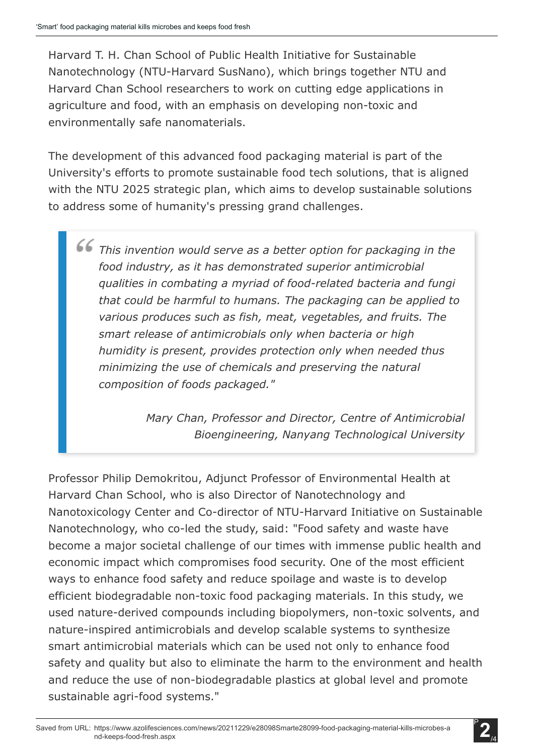Harvard T. H. Chan School of Public Health Initiative for Sustainable Nanotechnology (NTU-Harvard SusNano), which brings together NTU and Harvard Chan School researchers to work on cutting edge applications in agriculture and food, with an emphasis on developing non-toxic and environmentally safe nanomaterials.

The development of this advanced food packaging material is part of the University's efforts to promote sustainable food tech solutions, that is aligned with the NTU 2025 strategic plan, which aims to develop sustainable solutions to address some of humanity's pressing grand challenges.

*This invention would serve as a better option for packaging in the food industry, as it has demonstrated superior antimicrobial qualities in combating a myriad of food-related bacteria and fungi that could be harmful to humans. The packaging can be applied to various produces such as fish, meat, vegetables, and fruits. The smart release of antimicrobials only when bacteria or high humidity is present, provides protection only when needed thus minimizing the use of chemicals and preserving the natural composition of foods packaged."*

> *Mary Chan, Professor and Director, Centre of Antimicrobial Bioengineering, Nanyang Technological University*

Professor Philip Demokritou, Adjunct Professor of Environmental Health at Harvard Chan School, who is also Director of Nanotechnology and Nanotoxicology Center and Co-director of NTU-Harvard Initiative on Sustainable Nanotechnology, who co-led the study, said: "Food safety and waste have become a major societal challenge of our times with immense public health and economic impact which compromises food security. One of the most efficient ways to enhance food safety and reduce spoilage and waste is to develop efficient biodegradable non-toxic food packaging materials. In this study, we used nature-derived compounds including biopolymers, non-toxic solvents, and nature-inspired antimicrobials and develop scalable systems to synthesize smart antimicrobial materials which can be used not only to enhance food safety and quality but also to eliminate the harm to the environment and health and reduce the use of non-biodegradable plastics at global level and promote sustainable agri-food systems."

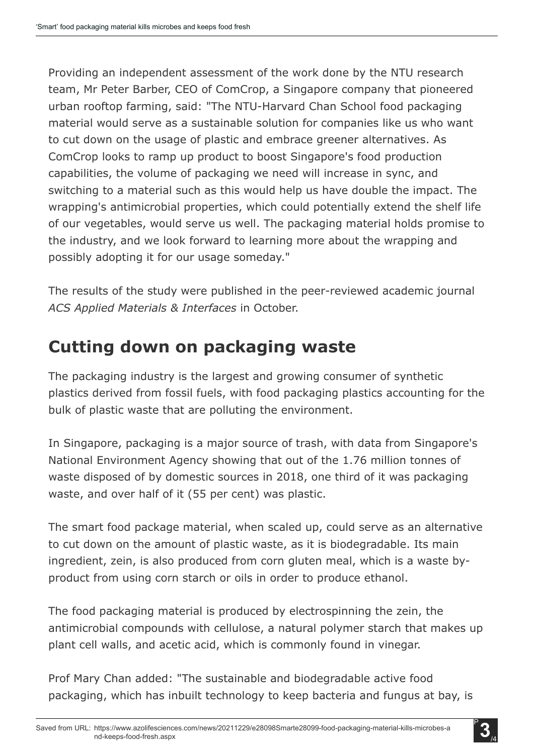Providing an independent assessment of the work done by the NTU research team, Mr Peter Barber, CEO of ComCrop, a Singapore company that pioneered urban rooftop farming, said: "The NTU-Harvard Chan School food packaging material would serve as a sustainable solution for companies like us who want to cut down on the usage of plastic and embrace greener alternatives. As ComCrop looks to ramp up product to boost Singapore's food production capabilities, the volume of packaging we need will increase in sync, and switching to a material such as this would help us have double the impact. The wrapping's antimicrobial properties, which could potentially extend the shelf life of our vegetables, would serve us well. The packaging material holds promise to the industry, and we look forward to learning more about the wrapping and possibly adopting it for our usage someday."

The results of the study were published in the peer-reviewed academic journal *ACS Applied Materials & Interfaces* in October.

## **Cutting down on packaging waste**

The packaging industry is the largest and growing consumer of synthetic plastics derived from fossil fuels, with food packaging plastics accounting for the bulk of plastic waste that are polluting the environment.

In Singapore, packaging is a major source of trash, with data from Singapore's National Environment Agency showing that out of the 1.76 million tonnes of waste disposed of by domestic sources in 2018, one third of it was packaging waste, and over half of it (55 per cent) was plastic.

The smart food package material, when scaled up, could serve as an alternative to cut down on the amount of plastic waste, as it is biodegradable. Its main ingredient, zein, is also produced from corn gluten meal, which is a waste byproduct from using corn starch or oils in order to produce ethanol.

The food packaging material is produced by electrospinning the zein, the antimicrobial compounds with cellulose, a natural polymer starch that makes up plant cell walls, and acetic acid, which is commonly found in vinegar.

Prof Mary Chan added: "The sustainable and biodegradable active food packaging, which has inbuilt technology to keep bacteria and fungus at bay, is